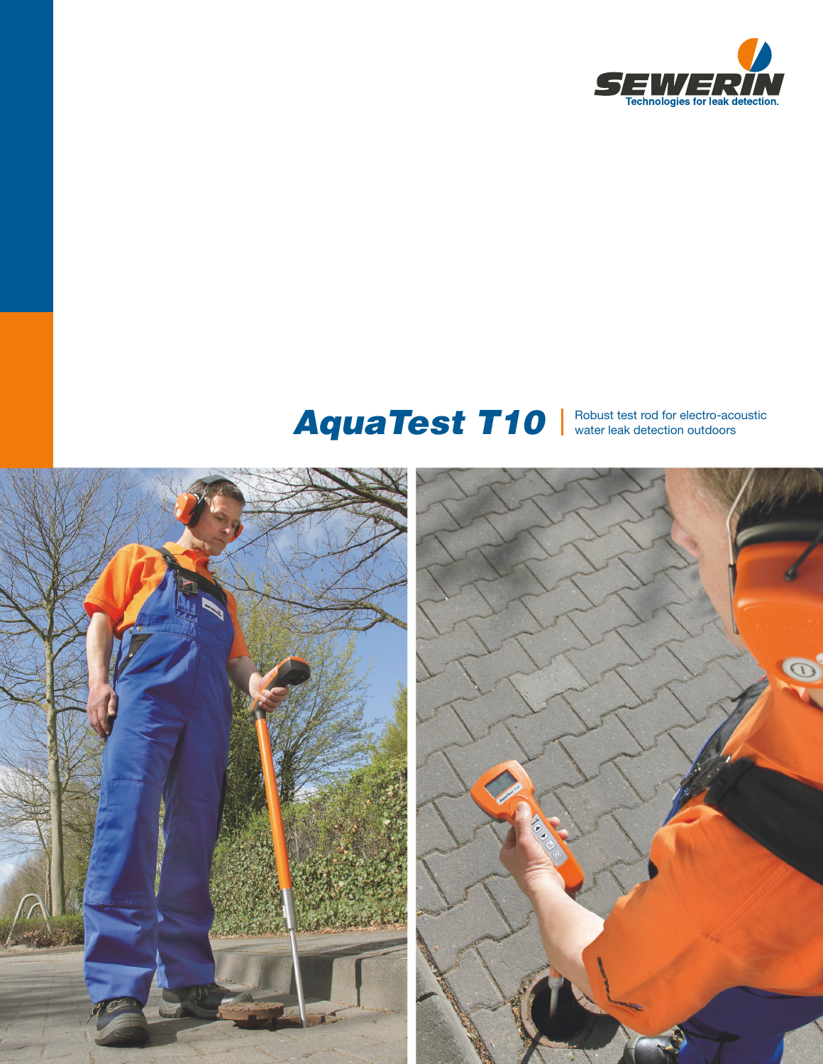

# AquaTest T10 Nobust test rod for electro-acoustic